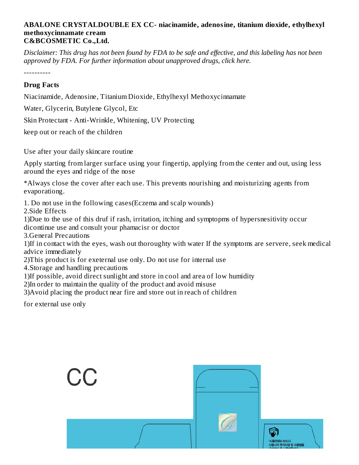## **ABALONE CRYSTALDOUBLE EX CC- niacinamide, adenosine, titanium dioxide, ethylhexyl methoxycinnamate cream C&BCOSMETIC Co.,Ltd.**

Disclaimer: This drug has not been found by FDA to be safe and effective, and this labeling has not been *approved by FDA. For further information about unapproved drugs, click here.*

----------

## **Drug Facts**

Niacinamide, Adenosine, Titanium Dioxide, Ethylhexyl Methoxycinnamate

Water, Glycerin, Butylene Glycol, Etc

Skin Protectant - Anti-Wrinkle, Whitening, UV Protecting

keep out or reach of the children

Use after your daily skincare routine

Apply starting from larger surface using your fingertip, applying from the center and out, using less around the eyes and ridge of the nose

\*Always close the cover after each use. This prevents nourishing and moisturizing agents from evaporationg.

1. Do not use in the following cases(Eczema and scalp wounds)

2.Side Effects

1)Due to the use of this druf if rash, irritation, itching and symptopms of hypersnesitivity occur dicontinue use and consult your phamacisr or doctor

3.General Precautions

1)If in contact with the eyes, wash out thoroughty with water If the symptoms are servere, seek medical advice immediately

2)This product is for exeternal use only. Do not use for internal use

4.Storage and handling precautions

1)If possible, avoid direct sunlight and store in cool and area of low humidity

2)In order to maintain the quality of the product and avoid misuse

3)Avoid placing the product near fire and store out in reach of children

for external use only

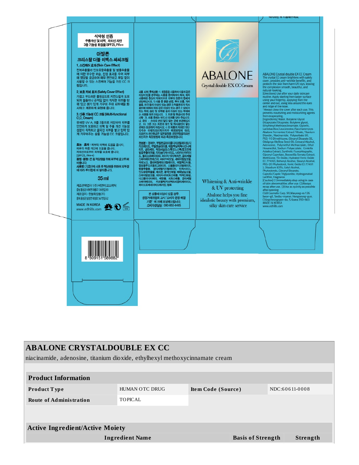

| <b>ABALONE CRYSTALDOUBLE EX CC</b>                                          |                |                    |                          |  |                |  |  |  |
|-----------------------------------------------------------------------------|----------------|--------------------|--------------------------|--|----------------|--|--|--|
| niacinamide, adenosine, titanium dioxide, ethylhexyl methoxycinnamate cream |                |                    |                          |  |                |  |  |  |
|                                                                             |                |                    |                          |  |                |  |  |  |
| <b>Product Information</b>                                                  |                |                    |                          |  |                |  |  |  |
| <b>Product Type</b>                                                         | HUMAN OTC DRUG | Item Code (Source) |                          |  | NDC:60611-0008 |  |  |  |
| <b>Route of Administration</b>                                              | TOPICAL        |                    |                          |  |                |  |  |  |
|                                                                             |                |                    |                          |  |                |  |  |  |
|                                                                             |                |                    |                          |  |                |  |  |  |
| <b>Active Ingredient/Active Moiety</b>                                      |                |                    |                          |  |                |  |  |  |
| <b>Ingredient Name</b>                                                      |                |                    | <b>Basis of Strength</b> |  | Strength       |  |  |  |